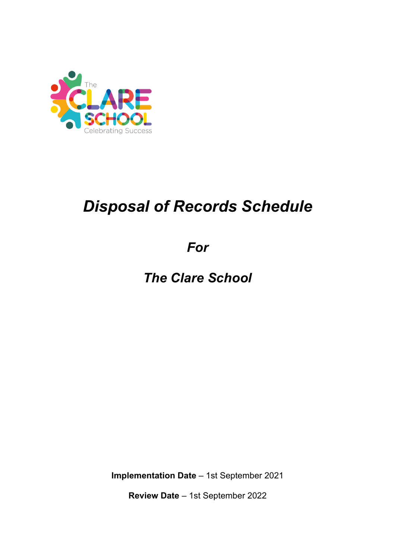

# *Disposal of Records Schedule*

*For*

*The Clare School*

**Implementation Date** – 1st September 2021

**Review Date** – 1st September 2022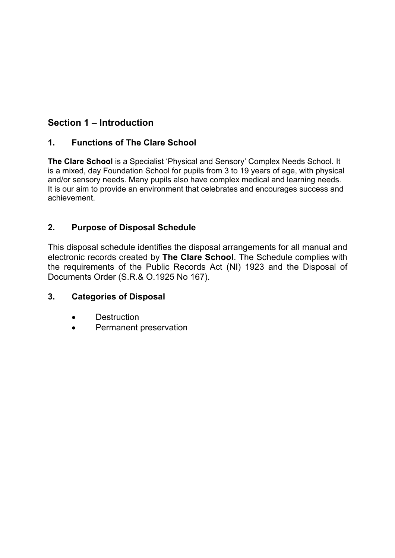## **Section 1 – Introduction**

#### **1. Functions of The Clare School**

**The Clare School** is a Specialist 'Physical and Sensory' Complex Needs School. It is a mixed, day Foundation School for pupils from 3 to 19 years of age, with physical and/or sensory needs. Many pupils also have complex medical and learning needs. It is our aim to provide an environment that celebrates and encourages success and achievement.

#### **2. Purpose of Disposal Schedule**

This disposal schedule identifies the disposal arrangements for all manual and electronic records created by **The Clare School**. The Schedule complies with the requirements of the Public Records Act (NI) 1923 and the Disposal of Documents Order (S.R.& O.1925 No 167).

#### **3. Categories of Disposal**

- Destruction
- Permanent preservation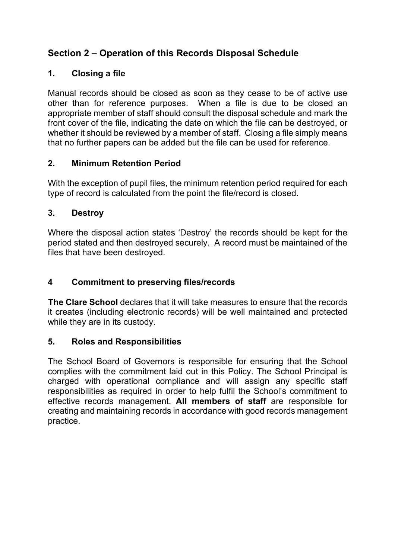## **Section 2 – Operation of this Records Disposal Schedule**

#### **1. Closing a file**

Manual records should be closed as soon as they cease to be of active use other than for reference purposes. When a file is due to be closed an appropriate member of staff should consult the disposal schedule and mark the front cover of the file, indicating the date on which the file can be destroyed, or whether it should be reviewed by a member of staff. Closing a file simply means that no further papers can be added but the file can be used for reference.

#### **2. Minimum Retention Period**

With the exception of pupil files, the minimum retention period required for each type of record is calculated from the point the file/record is closed.

#### **3. Destroy**

Where the disposal action states 'Destroy' the records should be kept for the period stated and then destroyed securely. A record must be maintained of the files that have been destroyed.

#### **4 Commitment to preserving files/records**

**The Clare School** declares that it will take measures to ensure that the records it creates (including electronic records) will be well maintained and protected while they are in its custody.

#### **5. Roles and Responsibilities**

The School Board of Governors is responsible for ensuring that the School complies with the commitment laid out in this Policy. The School Principal is charged with operational compliance and will assign any specific staff responsibilities as required in order to help fulfil the School's commitment to effective records management. **All members of staff** are responsible for creating and maintaining records in accordance with good records management practice.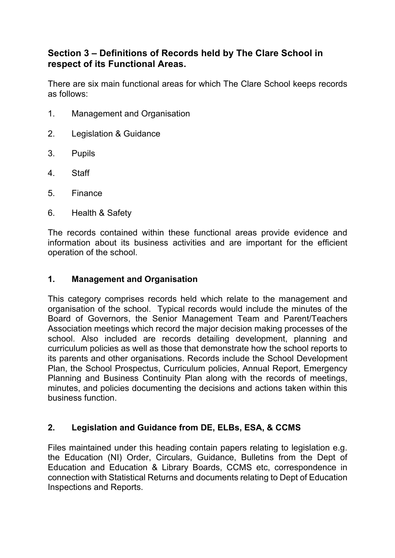#### **Section 3 – Definitions of Records held by The Clare School in respect of its Functional Areas.**

There are six main functional areas for which The Clare School keeps records as follows:

- 1. Management and Organisation
- 2. Legislation & Guidance
- 3. Pupils
- 4. Staff
- 5. Finance
- 6. Health & Safety

The records contained within these functional areas provide evidence and information about its business activities and are important for the efficient operation of the school.

#### **1. Management and Organisation**

This category comprises records held which relate to the management and organisation of the school. Typical records would include the minutes of the Board of Governors, the Senior Management Team and Parent/Teachers Association meetings which record the major decision making processes of the school. Also included are records detailing development, planning and curriculum policies as well as those that demonstrate how the school reports to its parents and other organisations. Records include the School Development Plan, the School Prospectus, Curriculum policies, Annual Report, Emergency Planning and Business Continuity Plan along with the records of meetings, minutes, and policies documenting the decisions and actions taken within this business function.

#### **2. Legislation and Guidance from DE, ELBs, ESA, & CCMS**

Files maintained under this heading contain papers relating to legislation e.g. the Education (NI) Order, Circulars, Guidance, Bulletins from the Dept of Education and Education & Library Boards, CCMS etc, correspondence in connection with Statistical Returns and documents relating to Dept of Education Inspections and Reports.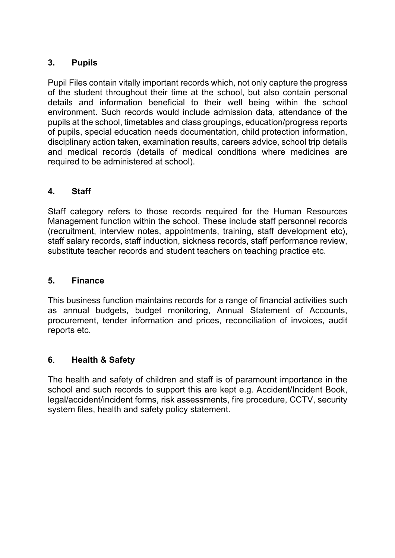#### **3. Pupils**

Pupil Files contain vitally important records which, not only capture the progress of the student throughout their time at the school, but also contain personal details and information beneficial to their well being within the school environment. Such records would include admission data, attendance of the pupils at the school, timetables and class groupings, education/progress reports of pupils, special education needs documentation, child protection information, disciplinary action taken, examination results, careers advice, school trip details and medical records (details of medical conditions where medicines are required to be administered at school).

#### **4. Staff**

Staff category refers to those records required for the Human Resources Management function within the school. These include staff personnel records (recruitment, interview notes, appointments, training, staff development etc), staff salary records, staff induction, sickness records, staff performance review, substitute teacher records and student teachers on teaching practice etc.

#### **5. Finance**

This business function maintains records for a range of financial activities such as annual budgets, budget monitoring, Annual Statement of Accounts, procurement, tender information and prices, reconciliation of invoices, audit reports etc.

#### **6**. **Health & Safety**

The health and safety of children and staff is of paramount importance in the school and such records to support this are kept e.g. Accident/Incident Book, legal/accident/incident forms, risk assessments, fire procedure, CCTV, security system files, health and safety policy statement.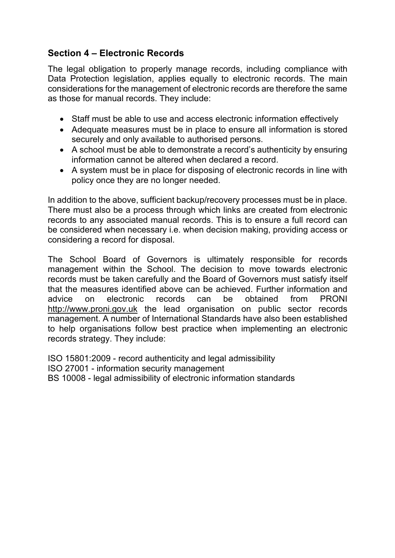#### **Section 4 – Electronic Records**

The legal obligation to properly manage records, including compliance with Data Protection legislation, applies equally to electronic records. The main considerations for the management of electronic records are therefore the same as those for manual records. They include:

- Staff must be able to use and access electronic information effectively
- Adequate measures must be in place to ensure all information is stored securely and only available to authorised persons.
- A school must be able to demonstrate a record's authenticity by ensuring information cannot be altered when declared a record.
- A system must be in place for disposing of electronic records in line with policy once they are no longer needed.

In addition to the above, sufficient backup/recovery processes must be in place. There must also be a process through which links are created from electronic records to any associated manual records. This is to ensure a full record can be considered when necessary i.e. when decision making, providing access or considering a record for disposal.

The School Board of Governors is ultimately responsible for records management within the School. The decision to move towards electronic records must be taken carefully and the Board of Governors must satisfy itself that the measures identified above can be achieved. Further information and advice on electronic records can be obtained from PRONI http://www.proni.gov.uk the lead organisation on public sector records management. A number of International Standards have also been established to help organisations follow best practice when implementing an electronic records strategy. They include:

ISO 15801:2009 - record authenticity and legal admissibility ISO 27001 - information security management BS 10008 - legal admissibility of electronic information standards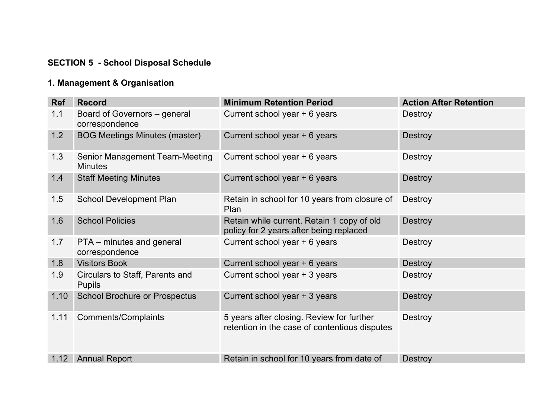# **SECTION 5 - School Disposal Schedule**

# **1. Management & Organisation**

| <b>Ref</b> | <b>Record</b>                                           | <b>Minimum Retention Period</b>                                                            | <b>Action After Retention</b> |
|------------|---------------------------------------------------------|--------------------------------------------------------------------------------------------|-------------------------------|
| 1.1        | Board of Governors - general<br>correspondence          | Current school year + 6 years                                                              | <b>Destroy</b>                |
| 1.2        | <b>BOG Meetings Minutes (master)</b>                    | Current school year + 6 years                                                              | <b>Destroy</b>                |
| 1.3        | <b>Senior Management Team-Meeting</b><br><b>Minutes</b> | Current school year + 6 years                                                              | <b>Destroy</b>                |
| 1.4        | <b>Staff Meeting Minutes</b>                            | Current school year + 6 years                                                              | <b>Destroy</b>                |
| 1.5        | <b>School Development Plan</b>                          | Retain in school for 10 years from closure of<br>Plan                                      | Destroy                       |
| 1.6        | <b>School Policies</b>                                  | Retain while current. Retain 1 copy of old<br>policy for 2 years after being replaced      | <b>Destroy</b>                |
| 1.7        | PTA – minutes and general<br>correspondence             | Current school year + 6 years                                                              | <b>Destroy</b>                |
| 1.8        | <b>Visitors Book</b>                                    | Current school year + 6 years                                                              | <b>Destroy</b>                |
| 1.9        | Circulars to Staff, Parents and<br><b>Pupils</b>        | Current school year + 3 years                                                              | Destroy                       |
| 1.10       | <b>School Brochure or Prospectus</b>                    | Current school year + 3 years                                                              | <b>Destroy</b>                |
| 1.11       | <b>Comments/Complaints</b>                              | 5 years after closing. Review for further<br>retention in the case of contentious disputes | <b>Destroy</b>                |
| 1.12       | <b>Annual Report</b>                                    | Retain in school for 10 years from date of                                                 | <b>Destroy</b>                |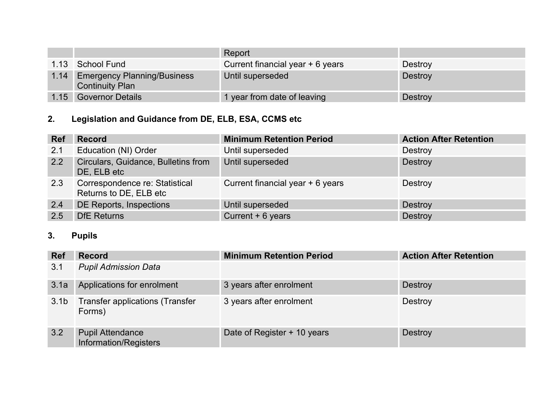|      |                                                              | Report                           |                |
|------|--------------------------------------------------------------|----------------------------------|----------------|
|      | 1.13 School Fund                                             | Current financial year + 6 years | <b>Destroy</b> |
| 1.14 | <b>Emergency Planning/Business</b><br><b>Continuity Plan</b> | Until superseded                 | <b>Destroy</b> |
| 1.15 | <b>Governor Details</b>                                      | 1 year from date of leaving      | <b>Destroy</b> |

# **2. Legislation and Guidance from DE, ELB, ESA, CCMS etc**

| <b>Ref</b> | <b>Record</b>                                            | <b>Minimum Retention Period</b>  | <b>Action After Retention</b> |
|------------|----------------------------------------------------------|----------------------------------|-------------------------------|
| 2.1        | Education (NI) Order                                     | Until superseded                 | Destroy                       |
| 2.2        | Circulars, Guidance, Bulletins from<br>DE, ELB etc       | Until superseded                 | Destroy                       |
| 2.3        | Correspondence re: Statistical<br>Returns to DE, ELB etc | Current financial year + 6 years | Destroy                       |
| 2.4        | <b>DE Reports, Inspections</b>                           | Until superseded                 | Destroy                       |
| 2.5        | <b>DfE</b> Returns                                       | Current $+6$ years               | Destroy                       |

# **3. Pupils**

| <b>Ref</b>       | <b>Record</b>                                    | <b>Minimum Retention Period</b> | <b>Action After Retention</b> |
|------------------|--------------------------------------------------|---------------------------------|-------------------------------|
| 3.1              | <b>Pupil Admission Data</b>                      |                                 |                               |
| 3.1a             | Applications for enrolment                       | 3 years after enrolment         | Destroy                       |
| 3.1 <sub>b</sub> | <b>Transfer applications (Transfer</b><br>Forms) | 3 years after enrolment         | Destroy                       |
| 3.2              | <b>Pupil Attendance</b><br>Information/Registers | Date of Register + 10 years     | <b>Destroy</b>                |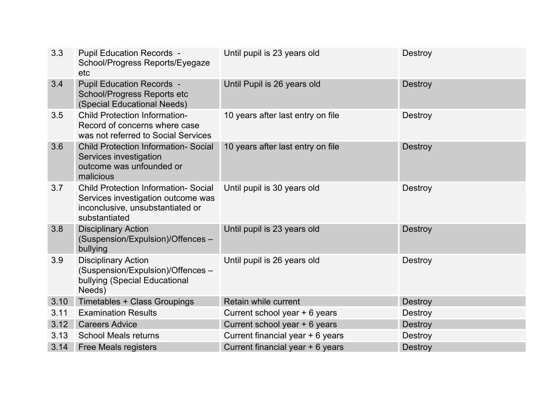| 3.3  | <b>Pupil Education Records -</b><br>School/Progress Reports/Eyegaze<br>etc                                                             | Until pupil is 23 years old       | <b>Destroy</b> |
|------|----------------------------------------------------------------------------------------------------------------------------------------|-----------------------------------|----------------|
| 3.4  | <b>Pupil Education Records -</b><br>School/Progress Reports etc<br>(Special Educational Needs)                                         | Until Pupil is 26 years old       | <b>Destroy</b> |
| 3.5  | <b>Child Protection Information-</b><br>Record of concerns where case<br>was not referred to Social Services                           | 10 years after last entry on file | <b>Destroy</b> |
| 3.6  | <b>Child Protection Information- Social</b><br>Services investigation<br>outcome was unfounded or<br>malicious                         | 10 years after last entry on file | <b>Destroy</b> |
| 3.7  | <b>Child Protection Information- Social</b><br>Services investigation outcome was<br>inconclusive, unsubstantiated or<br>substantiated | Until pupil is 30 years old       | <b>Destroy</b> |
| 3.8  | <b>Disciplinary Action</b><br>(Suspension/Expulsion)/Offences -<br>bullying                                                            | Until pupil is 23 years old       | <b>Destroy</b> |
| 3.9  | <b>Disciplinary Action</b><br>(Suspension/Expulsion)/Offences -<br>bullying (Special Educational<br>Needs)                             | Until pupil is 26 years old       | Destroy        |
| 3.10 | Timetables + Class Groupings                                                                                                           | Retain while current              | <b>Destroy</b> |
| 3.11 | <b>Examination Results</b>                                                                                                             | Current school year + 6 years     | Destroy        |
| 3.12 | <b>Careers Advice</b>                                                                                                                  | Current school year + 6 years     | <b>Destroy</b> |
| 3.13 | <b>School Meals returns</b>                                                                                                            | Current financial year + 6 years  | Destroy        |
| 3.14 | <b>Free Meals registers</b>                                                                                                            | Current financial year + 6 years  | Destroy        |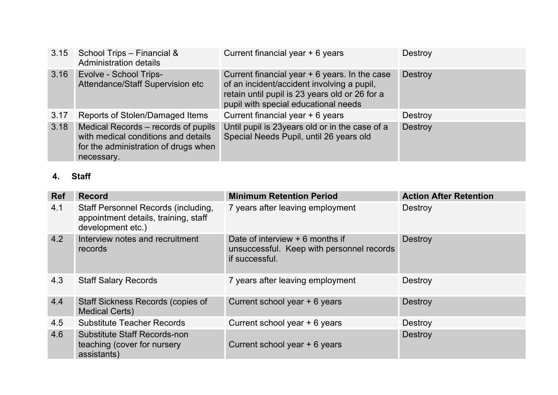| 3.15 | School Trips - Financial &<br><b>Administration details</b>                                                                      | Current financial year + 6 years                                                                                                                                                       | <b>Destroy</b> |
|------|----------------------------------------------------------------------------------------------------------------------------------|----------------------------------------------------------------------------------------------------------------------------------------------------------------------------------------|----------------|
| 3.16 | <b>Evolve - School Trips-</b><br>Attendance/Staff Supervision etc                                                                | Current financial year $+6$ years. In the case<br>of an incident/accident involving a pupil,<br>retain until pupil is 23 years old or 26 for a<br>pupil with special educational needs | <b>Destroy</b> |
| 3.17 | Reports of Stolen/Damaged Items                                                                                                  | Current financial year + 6 years                                                                                                                                                       | <b>Destroy</b> |
| 3.18 | Medical Records - records of pupils<br>with medical conditions and details<br>for the administration of drugs when<br>necessary. | Until pupil is 23years old or in the case of a<br>Special Needs Pupil, until 26 years old                                                                                              | <b>Destroy</b> |

# **4. Staff**

| <b>Ref</b> | <b>Record</b>                                                                                           | <b>Minimum Retention Period</b>                                                                 | <b>Action After Retention</b> |
|------------|---------------------------------------------------------------------------------------------------------|-------------------------------------------------------------------------------------------------|-------------------------------|
| 4.1        | <b>Staff Personnel Records (including,</b><br>appointment details, training, staff<br>development etc.) | 7 years after leaving employment                                                                | <b>Destroy</b>                |
| 4.2        | Interview notes and recruitment<br>records                                                              | Date of interview $+6$ months if<br>unsuccessful. Keep with personnel records<br>if successful. | <b>Destroy</b>                |
| 4.3        | <b>Staff Salary Records</b>                                                                             | 7 years after leaving employment                                                                | Destroy                       |
| 4.4        | <b>Staff Sickness Records (copies of</b><br><b>Medical Certs)</b>                                       | Current school year + 6 years                                                                   | <b>Destroy</b>                |
| 4.5        | <b>Substitute Teacher Records</b>                                                                       | Current school year + 6 years                                                                   | Destroy                       |
| 4.6        | <b>Substitute Staff Records-non</b><br>teaching (cover for nursery<br>assistants)                       | Current school year + 6 years                                                                   | <b>Destroy</b>                |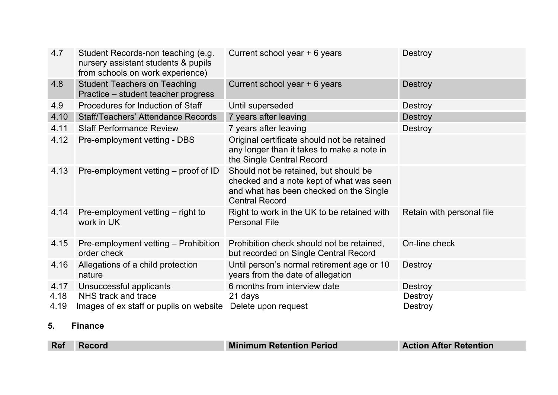| 4.7  | Student Records-non teaching (e.g.<br>nursery assistant students & pupils<br>from schools on work experience) | Current school year + 6 years                                                                                                                         | <b>Destroy</b>            |
|------|---------------------------------------------------------------------------------------------------------------|-------------------------------------------------------------------------------------------------------------------------------------------------------|---------------------------|
| 4.8  | <b>Student Teachers on Teaching</b><br>Practice – student teacher progress                                    | Current school year + 6 years                                                                                                                         | <b>Destroy</b>            |
| 4.9  | Procedures for Induction of Staff                                                                             | Until superseded                                                                                                                                      | <b>Destroy</b>            |
| 4.10 | <b>Staff/Teachers' Attendance Records</b>                                                                     | 7 years after leaving                                                                                                                                 | <b>Destroy</b>            |
| 4.11 | <b>Staff Performance Review</b>                                                                               | 7 years after leaving                                                                                                                                 | <b>Destroy</b>            |
| 4.12 | Pre-employment vetting - DBS                                                                                  | Original certificate should not be retained<br>any longer than it takes to make a note in<br>the Single Central Record                                |                           |
| 4.13 | Pre-employment vetting – proof of ID                                                                          | Should not be retained, but should be<br>checked and a note kept of what was seen<br>and what has been checked on the Single<br><b>Central Record</b> |                           |
| 4.14 | Pre-employment vetting – right to<br>work in UK                                                               | Right to work in the UK to be retained with<br><b>Personal File</b>                                                                                   | Retain with personal file |
| 4.15 | Pre-employment vetting - Prohibition<br>order check                                                           | Prohibition check should not be retained,<br>but recorded on Single Central Record                                                                    | On-line check             |
| 4.16 | Allegations of a child protection<br>nature                                                                   | Until person's normal retirement age or 10<br>years from the date of allegation                                                                       | Destroy                   |
| 4.17 | Unsuccessful applicants                                                                                       | 6 months from interview date                                                                                                                          | <b>Destroy</b>            |
| 4.18 | NHS track and trace                                                                                           | 21 days                                                                                                                                               | <b>Destroy</b>            |
| 4.19 | Images of ex staff or pupils on website                                                                       | Delete upon request                                                                                                                                   | Destroy                   |

## **5. Finance**

| Ref | <b>Record</b> | <b>Minimum Retention Period</b> | <b>Action After Retention</b> |
|-----|---------------|---------------------------------|-------------------------------|
|     |               |                                 |                               |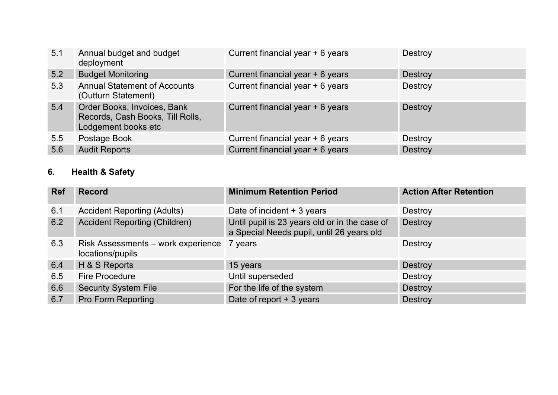| 5.1              | Annual budget and budget<br>deployment                                                 | Current financial year + 6 years | Destroy        |
|------------------|----------------------------------------------------------------------------------------|----------------------------------|----------------|
| 5.2 <sub>1</sub> | <b>Budget Monitoring</b>                                                               | Current financial year + 6 years | Destroy        |
| 5.3              | <b>Annual Statement of Accounts</b><br>(Outturn Statement)                             | Current financial year + 6 years | Destroy        |
| 5.4              | Order Books, Invoices, Bank<br>Records, Cash Books, Till Rolls,<br>Lodgement books etc | Current financial year + 6 years | <b>Destroy</b> |
| 5.5              | Postage Book                                                                           | Current financial year + 6 years | Destroy        |
| 5.6              | <b>Audit Reports</b>                                                                   | Current financial year + 6 years | Destroy        |

## **6. Health & Safety**

| <b>Ref</b> | <b>Record</b>                                                  | <b>Minimum Retention Period</b>                                                            | <b>Action After Retention</b> |
|------------|----------------------------------------------------------------|--------------------------------------------------------------------------------------------|-------------------------------|
| 6.1        | <b>Accident Reporting (Adults)</b>                             | Date of incident $+3$ years                                                                | Destroy                       |
| 6.2        | <b>Accident Reporting (Children)</b>                           | Until pupil is 23 years old or in the case of<br>a Special Needs pupil, until 26 years old | <b>Destroy</b>                |
| 6.3        | Risk Assessments – work experience 7 years<br>locations/pupils |                                                                                            | Destroy                       |
| 6.4        | H & S Reports                                                  | 15 years                                                                                   | Destroy                       |
| 6.5        | <b>Fire Procedure</b>                                          | Until superseded                                                                           | Destroy                       |
| 6.6        | <b>Security System File</b>                                    | For the life of the system                                                                 | <b>Destroy</b>                |
| 6.7        | <b>Pro Form Reporting</b>                                      | Date of report $+3$ years                                                                  | <b>Destroy</b>                |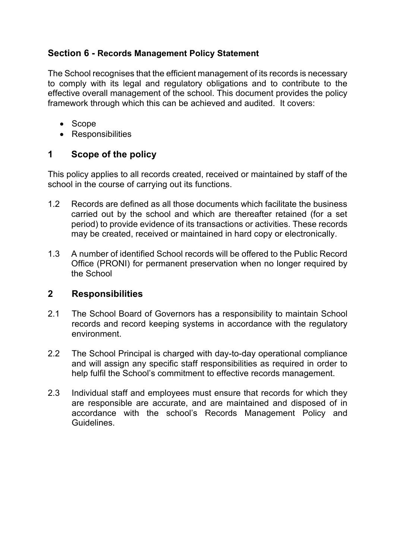#### **Section 6 - Records Management Policy Statement**

The School recognises that the efficient management of its records is necessary to comply with its legal and regulatory obligations and to contribute to the effective overall management of the school. This document provides the policy framework through which this can be achieved and audited. It covers:

- Scope
- Responsibilities

## **1 Scope of the policy**

This policy applies to all records created, received or maintained by staff of the school in the course of carrying out its functions.

- 1.2 Records are defined as all those documents which facilitate the business carried out by the school and which are thereafter retained (for a set period) to provide evidence of its transactions or activities. These records may be created, received or maintained in hard copy or electronically.
- 1.3 A number of identified School records will be offered to the Public Record Office (PRONI) for permanent preservation when no longer required by the School

#### **2 Responsibilities**

- 2.1 The School Board of Governors has a responsibility to maintain School records and record keeping systems in accordance with the regulatory environment.
- 2.2 The School Principal is charged with day-to-day operational compliance and will assign any specific staff responsibilities as required in order to help fulfil the School's commitment to effective records management.
- 2.3 Individual staff and employees must ensure that records for which they are responsible are accurate, and are maintained and disposed of in accordance with the school's Records Management Policy and Guidelines.